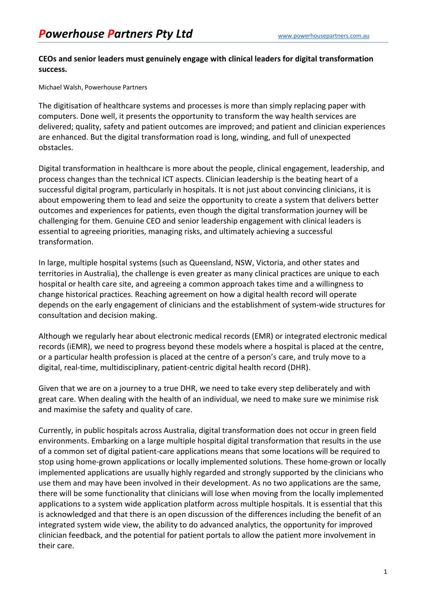## **CEOs and senior leaders must genuinely engage with clinical leaders for digital transformation success.**

Michael Walsh, Powerhouse Partners

The digitisation of healthcare systems and processes is more than simply replacing paper with computers. Done well, it presents the opportunity to transform the way health services are delivered; quality, safety and patient outcomes are improved; and patient and clinician experiences are enhanced. But the digital transformation road is long, winding, and full of unexpected obstacles.

Digital transformation in healthcare is more about the people, clinical engagement, leadership, and process changes than the technical ICT aspects. Clinician leadership is the beating heart of a successful digital program, particularly in hospitals. It is not just about convincing clinicians, it is about empowering them to lead and seize the opportunity to create a system that delivers better outcomes and experiences for patients, even though the digital transformation journey will be challenging for them. Genuine CEO and senior leadership engagement with clinical leaders is essential to agreeing priorities, managing risks, and ultimately achieving a successful transformation.

In large, multiple hospital systems (such as Queensland, NSW, Victoria, and other states and territories in Australia), the challenge is even greater as many clinical practices are unique to each hospital or health care site, and agreeing a common approach takes time and a willingness to change historical practices. Reaching agreement on how a digital health record will operate depends on the early engagement of clinicians and the establishment of system-wide structures for consultation and decision making.

Although we regularly hear about electronic medical records (EMR) or integrated electronic medical records (iEMR), we need to progress beyond these models where a hospital is placed at the centre, or a particular health profession is placed at the centre of a person's care, and truly move to a digital, real-time, multidisciplinary, patient-centric digital health record (DHR).

Given that we are on a journey to a true DHR, we need to take every step deliberately and with great care. When dealing with the health of an individual, we need to make sure we minimise risk and maximise the safety and quality of care.

Currently, in public hospitals across Australia, digital transformation does not occur in green field environments. Embarking on a large multiple hospital digital transformation that results in the use of a common set of digital patient-care applications means that some locations will be required to stop using home-grown applications or locally implemented solutions. These home-grown or locally implemented applications are usually highly regarded and strongly supported by the clinicians who use them and may have been involved in their development. As no two applications are the same, there will be some functionality that clinicians will lose when moving from the locally implemented applications to a system wide application platform across multiple hospitals. It is essential that this is acknowledged and that there is an open discussion of the differences including the benefit of an integrated system wide view, the ability to do advanced analytics, the opportunity for improved clinician feedback, and the potential for patient portals to allow the patient more involvement in their care.